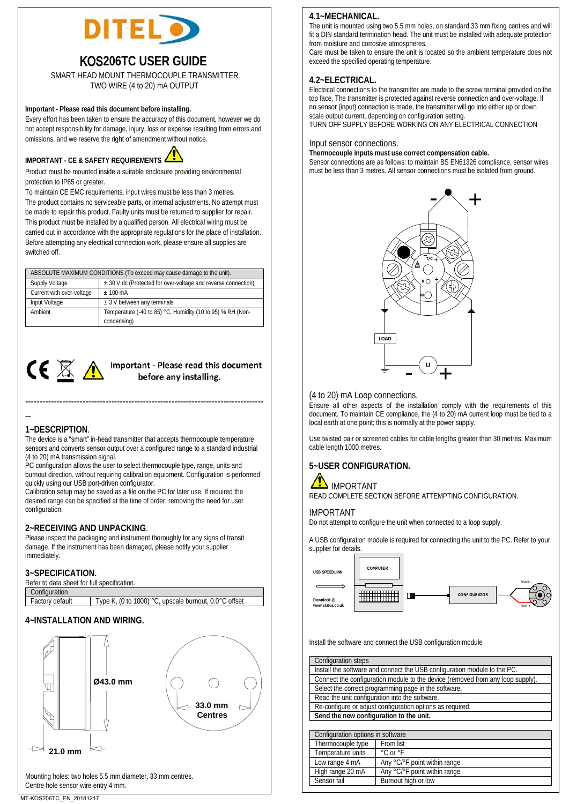

# KOS**206TC USER GUIDE**

SMART HEAD MOUNT THERMOCOUPLE TRANSMITTER TWO WIRE (4 to 20) mA OUTPUT

## **Important - Please read this document before installing.**

Every effort has been taken to ensure the accuracy of this document, however we do not accept responsibility for damage, injury, loss or expense resulting from errors and omissions, and we reserve the right of amendment without notice.



Product must be mounted inside a suitable enclosure providing environmental protection to IP65 or greater.

To maintain CE EMC requirements, input wires must be less than 3 metres. The product contains no serviceable parts, or internal adjustments. No attempt must be made to repair this product. Faulty units must be returned to supplier for repair. This product must be installed by a qualified person. All electrical wiring must be carried out in accordance with the appropriate regulations for the place of installation. Before attempting any electrical connection work, please ensure all supplies are switched off.

|                           | ABSOLUTE MAXIMUM CONDITIONS (To exceed may cause damage to the unit).     |  |
|---------------------------|---------------------------------------------------------------------------|--|
| Supply Voltage            | ± 30 V dc (Protected for over-voltage and reverse connection)             |  |
| Current with over-voltage | $+100 \text{ mA}$                                                         |  |
| Input Voltage             | $\pm$ 3 V between any terminals                                           |  |
| Ambient                   | Temperature (-40 to 85) °C, Humidity (10 to 95) % RH (Non-<br>condensing) |  |



# **CE** X Important - Please read this document

# **1~DESCRIPTION**.

--

The device is a "smart" in-head transmitter that accepts thermocouple temperature sensors and converts sensor output over a configured range to a standard industrial (4 to 20) mA transmission signal.

-----------------------------------------------------------------------------------

PC configuration allows the user to select thermocouple type, range, units and burnout direction, without requiring calibration equipment. Configuration is performed quickly using our USB port-driven configurator.

Calibration setup may be saved as a file on the PC for later use. If required the desired range can be specified at the time of order, removing the need for user configuration.

**2~RECEIVING AND UNPACKING**. Please inspect the packaging and instrument thoroughly for any signs of transit damage. If the instrument has been damaged, please notify your supplier immediately.

### **3~SPECIFICATION.**

Refer to data sheet for full specification.

| Configuration   |                                                       |
|-----------------|-------------------------------------------------------|
| Factory default | Type K, (0 to 1000) °C, upscale burnout, 0.0°C offset |

# **4~INSTALLATION AND WIRING.**



# **4.1~MECHANICAL.**

The unit is mounted using two 5.5 mm holes, on standard 33 mm fixing centres and will fit a DIN standard termination head. The unit must be installed with adequate protection from moisture and corrosive atmospheres.

Care must be taken to ensure the unit is located so the ambient temperature does not exceed the specified operating temperature.

# **4.2~ELECTRICAL.**

Electrical connections to the transmitter are made to the screw terminal provided on the top face. The transmitter is protected against reverse connection and over-voltage. If no sensor (input) connection is made, the transmitter will go into either up or down scale output current, depending on configuration setting.

TURN OFF SUPPLY BEFORE WORKING ON ANY ELECTRICAL CONNECTION

#### Input sensor connections.

### **Thermocouple inputs must use correct compensation cable.**

Sensor connections are as follows: to maintain BS EN61326 compliance, sensor wires must be less than 3 metres. All sensor connections must be isolated from ground.



(4 to 20) mA Loop connections. Ensure all other aspects of the installation comply with the requirements of this document. To maintain CE compliance, the (4 to 20) mA current loop must be tied to a local earth at one point; this is normally at the power supply.

Use twisted pair or screened cables for cable lengths greater than 30 metres. Maximum cable length 1000 metres.

# **5~USER CONFIGURATION.**



READ COMPLETE SECTION BEFORE ATTEMPTING CONFIGURATION.

#### IMPORTANT

Do not attempt to configure the unit when connected to a loop supply.

A USB configuration module is required for connecting the unit to the PC. Refer to your supplier for details.



Install the software and connect the USB configuration module

High range 20 mA Any °C/°F point within range<br>Sensor fail Burnout high or low

Burnout high or low

| Configuration steps                     |                                                                                |  |  |
|-----------------------------------------|--------------------------------------------------------------------------------|--|--|
|                                         | Install the software and connect the USB configuration module to the PC.       |  |  |
|                                         | Connect the configuration module to the device (removed from any loop supply). |  |  |
|                                         | Select the correct programming page in the software.                           |  |  |
|                                         | Read the unit configuration into the software.                                 |  |  |
|                                         | Re-configure or adjust configuration options as required.                      |  |  |
| Send the new configuration to the unit. |                                                                                |  |  |
|                                         |                                                                                |  |  |
|                                         | Configuration options in software                                              |  |  |
| Thermocouple type                       | From list                                                                      |  |  |
| Temperature units                       | °C or °F                                                                       |  |  |
| Low range 4 mA                          | Any °C/°F point within range                                                   |  |  |
| High range 20 mA                        | Any °C/°F point within range                                                   |  |  |